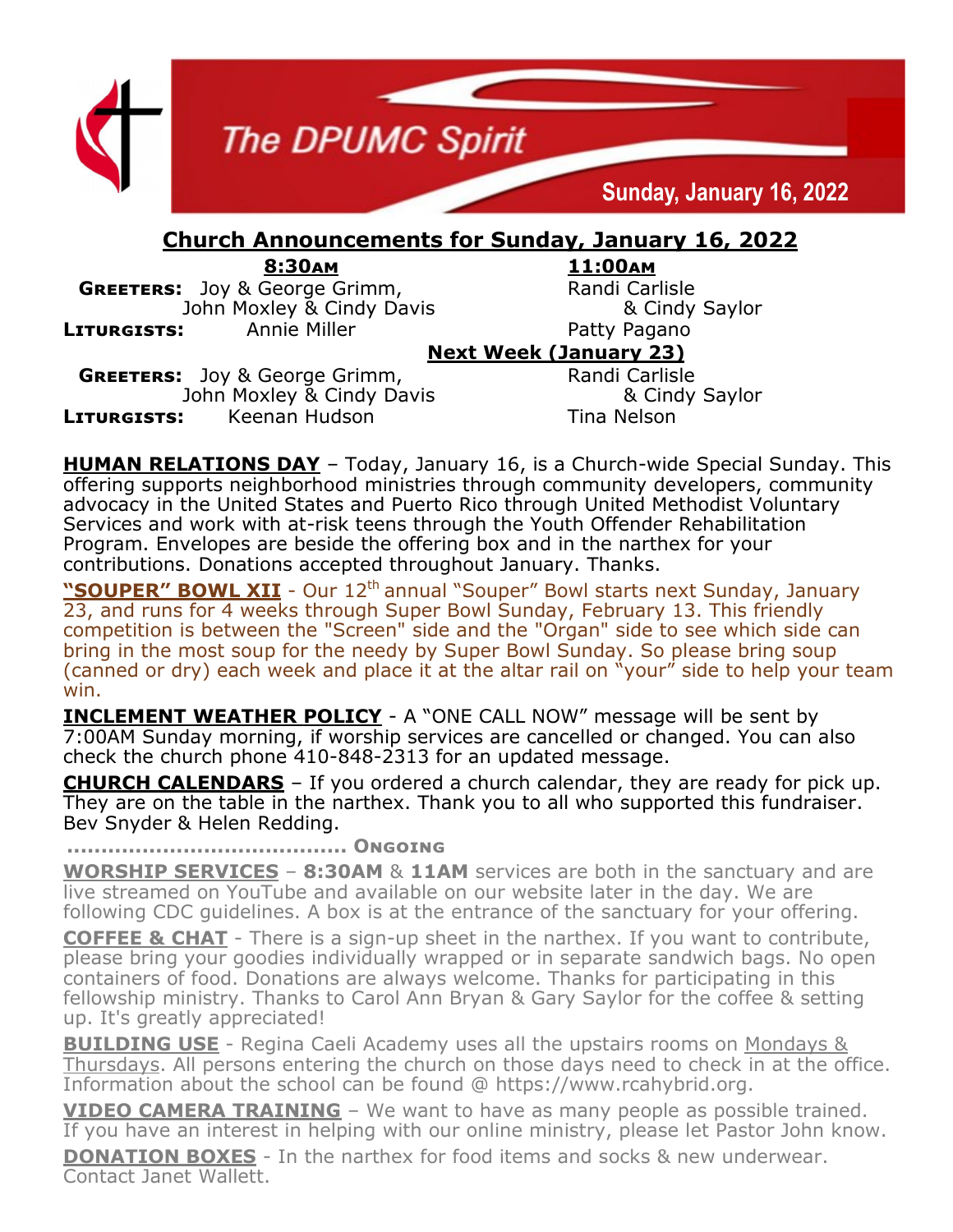

**GREETERS:** Joy & George Grimm, Randi Carlisle John Moxley & Cindy Davis & Cindy Saylor **LITURGISTS:** Annie Miller **Annie Hiller** Patty Pagano

## **Next Week (January 23)**

**GREETERS:** Joy & George Grimm, Randi Carlisle John Moxley & Cindy Davis & Cindy Saylor **LITURGISTS:** Keenan Hudson Tina Nelson

**HUMAN RELATIONS DAY** – Today, January 16, is a Church-wide Special Sunday. This offering supports neighborhood ministries through community developers, community advocacy in the United States and Puerto Rico through United Methodist Voluntary Services and work with at-risk teens through the Youth Offender Rehabilitation Program. Envelopes are beside the offering box and in the narthex for your contributions. Donations accepted throughout January. Thanks.

**"SOUPER" BOWL XII** - Our 12<sup>th</sup> annual "Souper" Bowl starts next Sunday, January 23, and runs for 4 weeks through Super Bowl Sunday, February 13. This friendly competition is between the "Screen" side and the "Organ" side to see which side can bring in the most soup for the needy by Super Bowl Sunday. So please bring soup (canned or dry) each week and place it at the altar rail on "your" side to help your team win.

**INCLEMENT WEATHER POLICY** - A "ONE CALL NOW" message will be sent by 7:00AM Sunday morning, if worship services are cancelled or changed. You can also check the church phone 410-848-2313 for an updated message.

**CHURCH CALENDARS** – If you ordered a church calendar, they are ready for pick up. They are on the table in the narthex. Thank you to all who supported this fundraiser. Bev Snyder & Helen Redding.

**......................................... Ongoing**

**WORSHIP SERVICES** – **8:30AM** & **11AM** services are both in the sanctuary and are live streamed on YouTube and available on our website later in the day. We are following CDC guidelines. A box is at the entrance of the sanctuary for your offering.

**COFFEE & CHAT** - There is a sign-up sheet in the narthex. If you want to contribute, please bring your goodies individually wrapped or in separate sandwich bags. No open containers of food. Donations are always welcome. Thanks for participating in this fellowship ministry. Thanks to Carol Ann Bryan & Gary Saylor for the coffee & setting up. It's greatly appreciated!

**BUILDING USE** - Regina Caeli Academy uses all the upstairs rooms on Mondays & Thursdays. All persons entering the church on those days need to check in at the office. Information about the school can be found @ https://www.rcahybrid.org.

**VIDEO CAMERA TRAINING** – We want to have as many people as possible trained. If you have an interest in helping with our online ministry, please let Pastor John know. **DONATION BOXES** - In the narthex for food items and socks & new underwear. Contact Janet Wallett.